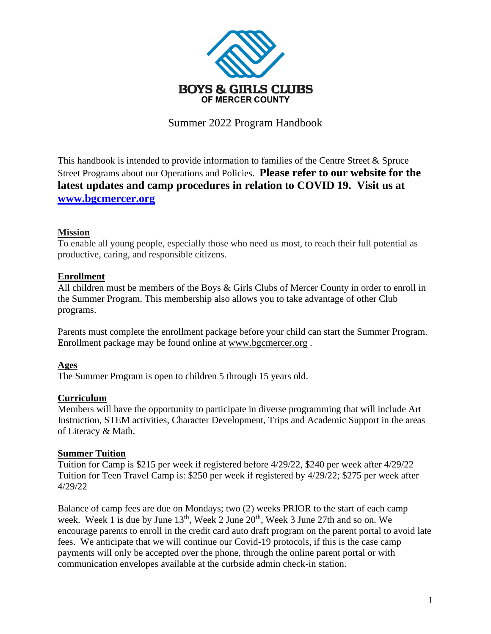

Summer 2022 Program Handbook

This handbook is intended to provide information to families of the Centre Street & Spruce Street Programs about our Operations and Policies. **Please refer to our website for the latest updates and camp procedures in relation to COVID 19. Visit us at [www.bgcmercer.org](http://www.bgcmercer.org/)**

### **Mission**

To enable all young people, especially those who need us most, to reach their full potential as productive, caring, and responsible citizens.

## **Enrollment**

All children must be members of the Boys & Girls Clubs of Mercer County in order to enroll in the Summer Program. This membership also allows you to take advantage of other Club programs.

Parents must complete the enrollment package before your child can start the Summer Program. Enrollment package may be found online at [www.bgcmercer.org](http://www.bgcmercer.org/) .

## **Ages**

The Summer Program is open to children 5 through 15 years old.

#### **Curriculum**

Members will have the opportunity to participate in diverse programming that will include Art Instruction, STEM activities, Character Development, Trips and Academic Support in the areas of Literacy & Math.

#### **Summer Tuition**

Tuition for Camp is \$215 per week if registered before 4/29/22, \$240 per week after 4/29/22 Tuition for Teen Travel Camp is: \$250 per week if registered by 4/29/22; \$275 per week after 4/29/22

Balance of camp fees are due on Mondays; two (2) weeks PRIOR to the start of each camp week. Week 1 is due by June 13<sup>th</sup>, Week 2 June 20<sup>th</sup>, Week 3 June 27th and so on. We encourage parents to enroll in the credit card auto draft program on the parent portal to avoid late fees. We anticipate that we will continue our Covid-19 protocols, if this is the case camp payments will only be accepted over the phone, through the online parent portal or with communication envelopes available at the curbside admin check-in station.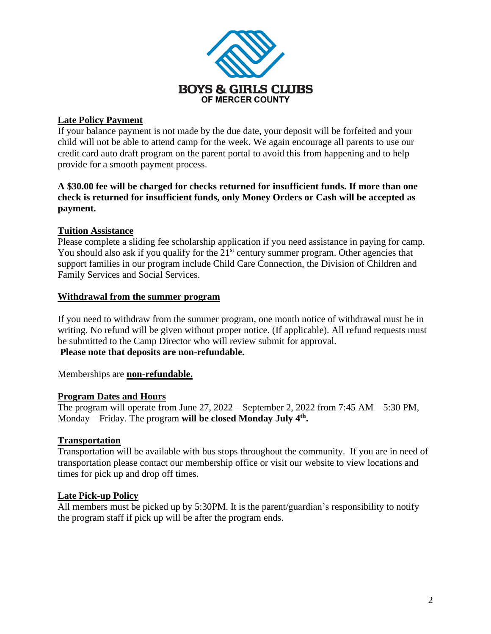

### **Late Policy Payment**

If your balance payment is not made by the due date, your deposit will be forfeited and your child will not be able to attend camp for the week. We again encourage all parents to use our credit card auto draft program on the parent portal to avoid this from happening and to help provide for a smooth payment process.

## **A \$30.00 fee will be charged for checks returned for insufficient funds. If more than one check is returned for insufficient funds, only Money Orders or Cash will be accepted as payment.**

### **Tuition Assistance**

Please complete a sliding fee scholarship application if you need assistance in paying for camp. You should also ask if you qualify for the  $21<sup>st</sup>$  century summer program. Other agencies that support families in our program include Child Care Connection, the Division of Children and Family Services and Social Services.

#### **Withdrawal from the summer program**

If you need to withdraw from the summer program, one month notice of withdrawal must be in writing. No refund will be given without proper notice. (If applicable). All refund requests must be submitted to the Camp Director who will review submit for approval. **Please note that deposits are non-refundable.**

Memberships are **non-refundable.**

## **Program Dates and Hours**

The program will operate from June  $27$ ,  $2022$  – September 2,  $2022$  from  $7:45$  AM –  $5:30$  PM, Monday – Friday. The program **will be closed Monday July 4 th .**

## **Transportation**

Transportation will be available with bus stops throughout the community. If you are in need of transportation please contact our membership office or visit our website to view locations and times for pick up and drop off times.

#### **Late Pick-up Policy**

All members must be picked up by 5:30PM. It is the parent/guardian's responsibility to notify the program staff if pick up will be after the program ends.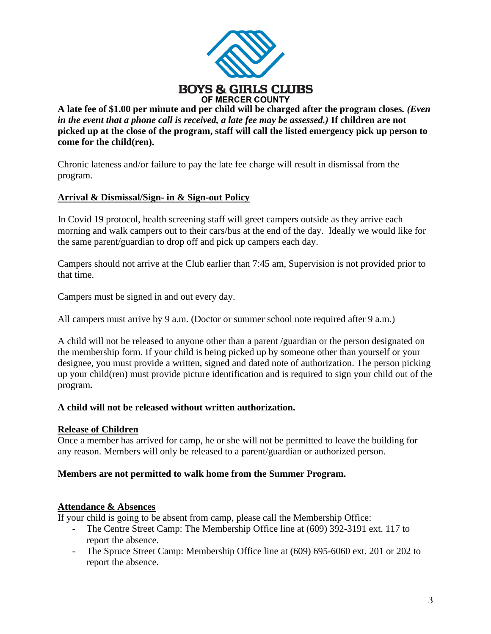

**A late fee of \$1.00 per minute and per child will be charged after the program closes***. (Even in the event that a phone call is received, a late fee may be assessed.)* **If children are not picked up at the close of the program, staff will call the listed emergency pick up person to come for the child(ren).**

Chronic lateness and/or failure to pay the late fee charge will result in dismissal from the program.

## **Arrival & Dismissal/Sign- in & Sign-out Policy**

In Covid 19 protocol, health screening staff will greet campers outside as they arrive each morning and walk campers out to their cars/bus at the end of the day. Ideally we would like for the same parent/guardian to drop off and pick up campers each day.

Campers should not arrive at the Club earlier than 7:45 am, Supervision is not provided prior to that time.

Campers must be signed in and out every day.

All campers must arrive by 9 a.m. (Doctor or summer school note required after 9 a.m.)

A child will not be released to anyone other than a parent /guardian or the person designated on the membership form. If your child is being picked up by someone other than yourself or your designee, you must provide a written, signed and dated note of authorization. The person picking up your child(ren) must provide picture identification and is required to sign your child out of the program**.** 

## **A child will not be released without written authorization.**

#### **Release of Children**

Once a member has arrived for camp, he or she will not be permitted to leave the building for any reason. Members will only be released to a parent/guardian or authorized person.

#### **Members are not permitted to walk home from the Summer Program.**

#### **Attendance & Absences**

If your child is going to be absent from camp, please call the Membership Office:

- The Centre Street Camp: The Membership Office line at (609) 392-3191 ext. 117 to report the absence.
- The Spruce Street Camp: Membership Office line at (609) 695-6060 ext. 201 or 202 to report the absence.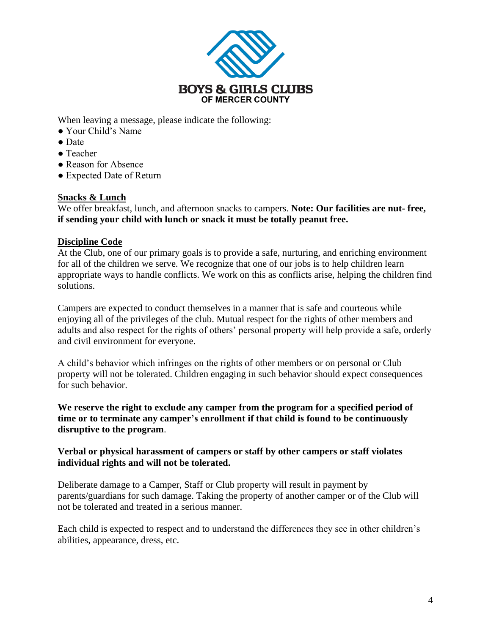

When leaving a message, please indicate the following:

- Your Child's Name
- Date
- Teacher
- Reason for Absence
- Expected Date of Return

## **Snacks & Lunch**

We offer breakfast, lunch, and afternoon snacks to campers. **Note: Our facilities are nut- free, if sending your child with lunch or snack it must be totally peanut free.**

### **Discipline Code**

At the Club, one of our primary goals is to provide a safe, nurturing, and enriching environment for all of the children we serve. We recognize that one of our jobs is to help children learn appropriate ways to handle conflicts. We work on this as conflicts arise, helping the children find solutions.

Campers are expected to conduct themselves in a manner that is safe and courteous while enjoying all of the privileges of the club. Mutual respect for the rights of other members and adults and also respect for the rights of others' personal property will help provide a safe, orderly and civil environment for everyone.

A child's behavior which infringes on the rights of other members or on personal or Club property will not be tolerated. Children engaging in such behavior should expect consequences for such behavior.

**We reserve the right to exclude any camper from the program for a specified period of time or to terminate any camper's enrollment if that child is found to be continuously disruptive to the program**.

### **Verbal or physical harassment of campers or staff by other campers or staff violates individual rights and will not be tolerated.**

Deliberate damage to a Camper, Staff or Club property will result in payment by parents/guardians for such damage. Taking the property of another camper or of the Club will not be tolerated and treated in a serious manner.

Each child is expected to respect and to understand the differences they see in other children's abilities, appearance, dress, etc.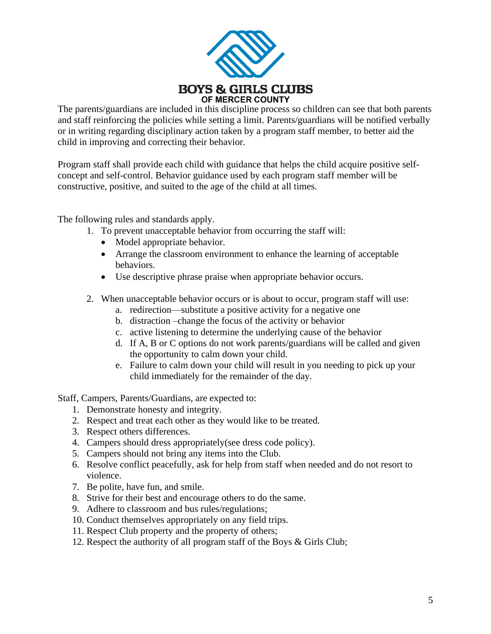

The parents/guardians are included in this discipline process so children can see that both parents and staff reinforcing the policies while setting a limit. Parents/guardians will be notified verbally or in writing regarding disciplinary action taken by a program staff member, to better aid the child in improving and correcting their behavior.

Program staff shall provide each child with guidance that helps the child acquire positive selfconcept and self-control. Behavior guidance used by each program staff member will be constructive, positive, and suited to the age of the child at all times.

The following rules and standards apply.

- 1. To prevent unacceptable behavior from occurring the staff will:
	- Model appropriate behavior.
	- Arrange the classroom environment to enhance the learning of acceptable behaviors.
	- Use descriptive phrase praise when appropriate behavior occurs.
- 2. When unacceptable behavior occurs or is about to occur, program staff will use:
	- a. redirection—substitute a positive activity for a negative one
	- b. distraction –change the focus of the activity or behavior
	- c. active listening to determine the underlying cause of the behavior
	- d. If A, B or C options do not work parents/guardians will be called and given the opportunity to calm down your child.
	- e. Failure to calm down your child will result in you needing to pick up your child immediately for the remainder of the day.

Staff, Campers, Parents/Guardians, are expected to:

- 1. Demonstrate honesty and integrity.
- 2. Respect and treat each other as they would like to be treated.
- 3. Respect others differences.
- 4. Campers should dress appropriately(see dress code policy).
- 5. Campers should not bring any items into the Club.
- 6. Resolve conflict peacefully, ask for help from staff when needed and do not resort to violence.
- 7. Be polite, have fun, and smile.
- 8. Strive for their best and encourage others to do the same.
- 9. Adhere to classroom and bus rules/regulations;
- 10. Conduct themselves appropriately on any field trips.
- 11. Respect Club property and the property of others;
- 12. Respect the authority of all program staff of the Boys & Girls Club;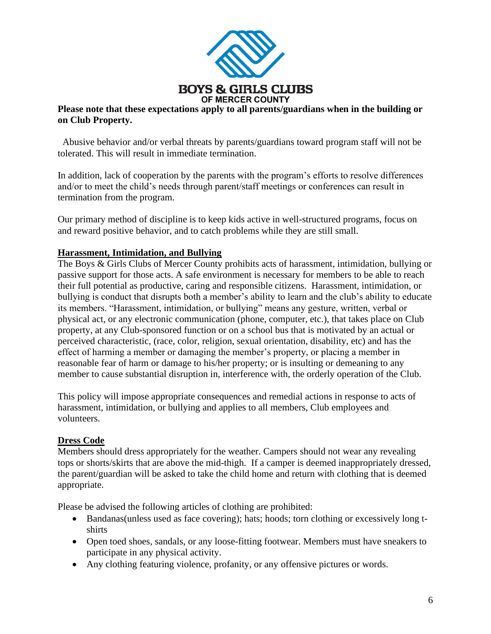

### **Please note that these expectations apply to all parents/guardians when in the building or on Club Property.**

Abusive behavior and/or verbal threats by parents/guardians toward program staff will not be tolerated. This will result in immediate termination.

In addition, lack of cooperation by the parents with the program's efforts to resolve differences and/or to meet the child's needs through parent/staff meetings or conferences can result in termination from the program.

Our primary method of discipline is to keep kids active in well-structured programs, focus on and reward positive behavior, and to catch problems while they are still small.

## **Harassment, Intimidation, and Bullying**

The Boys & Girls Clubs of Mercer County prohibits acts of harassment, intimidation, bullying or passive support for those acts. A safe environment is necessary for members to be able to reach their full potential as productive, caring and responsible citizens. Harassment, intimidation, or bullying is conduct that disrupts both a member's ability to learn and the club's ability to educate its members. "Harassment, intimidation, or bullying" means any gesture, written, verbal or physical act, or any electronic communication (phone, computer, etc.), that takes place on Club property, at any Club-sponsored function or on a school bus that is motivated by an actual or perceived characteristic, (race, color, religion, sexual orientation, disability, etc) and has the effect of harming a member or damaging the member's property, or placing a member in reasonable fear of harm or damage to his/her property; or is insulting or demeaning to any member to cause substantial disruption in, interference with, the orderly operation of the Club.

This policy will impose appropriate consequences and remedial actions in response to acts of harassment, intimidation, or bullying and applies to all members, Club employees and volunteers.

## **Dress Code**

Members should dress appropriately for the weather. Campers should not wear any revealing tops or shorts/skirts that are above the mid-thigh. If a camper is deemed inappropriately dressed, the parent/guardian will be asked to take the child home and return with clothing that is deemed appropriate.

Please be advised the following articles of clothing are prohibited:

- Bandanas(unless used as face covering); hats; hoods; torn clothing or excessively long tshirts
- Open toed shoes, sandals, or any loose-fitting footwear. Members must have sneakers to participate in any physical activity.
- Any clothing featuring violence, profanity, or any offensive pictures or words.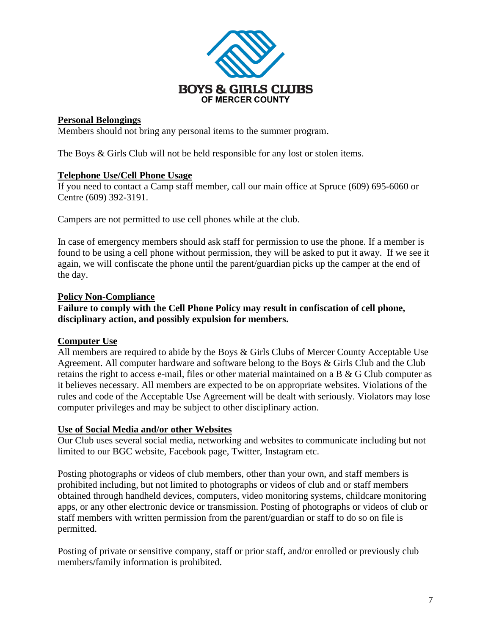

## **Personal Belongings**

Members should not bring any personal items to the summer program.

The Boys & Girls Club will not be held responsible for any lost or stolen items.

### **Telephone Use/Cell Phone Usage**

If you need to contact a Camp staff member, call our main office at Spruce (609) 695-6060 or Centre (609) 392-3191.

Campers are not permitted to use cell phones while at the club.

In case of emergency members should ask staff for permission to use the phone. If a member is found to be using a cell phone without permission, they will be asked to put it away. If we see it again, we will confiscate the phone until the parent/guardian picks up the camper at the end of the day.

### **Policy Non-Compliance**

**Failure to comply with the Cell Phone Policy may result in confiscation of cell phone, disciplinary action, and possibly expulsion for members.** 

## **Computer Use**

All members are required to abide by the Boys & Girls Clubs of Mercer County Acceptable Use Agreement. All computer hardware and software belong to the Boys & Girls Club and the Club retains the right to access e-mail, files or other material maintained on a B & G Club computer as it believes necessary. All members are expected to be on appropriate websites. Violations of the rules and code of the Acceptable Use Agreement will be dealt with seriously. Violators may lose computer privileges and may be subject to other disciplinary action.

#### **Use of Social Media and/or other Websites**

Our Club uses several social media, networking and websites to communicate including but not limited to our BGC website, Facebook page, Twitter, Instagram etc.

Posting photographs or videos of club members, other than your own, and staff members is prohibited including, but not limited to photographs or videos of club and or staff members obtained through handheld devices, computers, video monitoring systems, childcare monitoring apps, or any other electronic device or transmission. Posting of photographs or videos of club or staff members with written permission from the parent/guardian or staff to do so on file is permitted.

Posting of private or sensitive company, staff or prior staff, and/or enrolled or previously club members/family information is prohibited.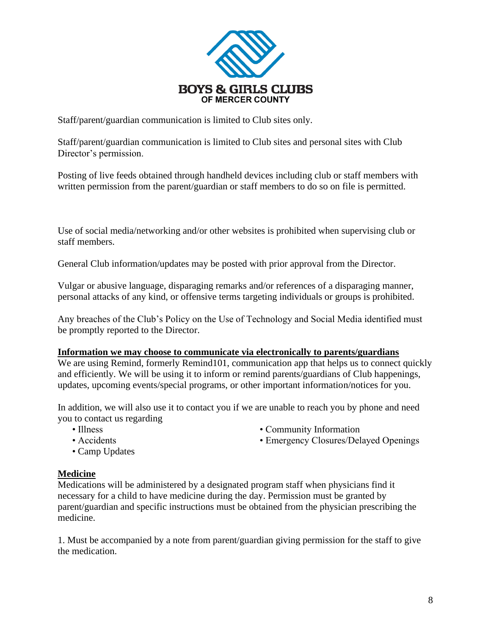

Staff/parent/guardian communication is limited to Club sites only.

Staff/parent/guardian communication is limited to Club sites and personal sites with Club Director's permission.

Posting of live feeds obtained through handheld devices including club or staff members with written permission from the parent/guardian or staff members to do so on file is permitted.

Use of social media/networking and/or other websites is prohibited when supervising club or staff members.

General Club information/updates may be posted with prior approval from the Director.

Vulgar or abusive language, disparaging remarks and/or references of a disparaging manner, personal attacks of any kind, or offensive terms targeting individuals or groups is prohibited.

Any breaches of the Club's Policy on the Use of Technology and Social Media identified must be promptly reported to the Director.

#### **Information we may choose to communicate via electronically to parents/guardians**

We are using Remind, formerly Remind101, communication app that helps us to connect quickly and efficiently. We will be using it to inform or remind parents/guardians of Club happenings, updates, upcoming events/special programs, or other important information/notices for you.

In addition, we will also use it to contact you if we are unable to reach you by phone and need you to contact us regarding

- 
- Illness Community Information
- Accidents Emergency Closures/Delayed Openings
- Camp Updates

## **Medicine**

Medications will be administered by a designated program staff when physicians find it necessary for a child to have medicine during the day. Permission must be granted by parent/guardian and specific instructions must be obtained from the physician prescribing the medicine.

1. Must be accompanied by a note from parent/guardian giving permission for the staff to give the medication.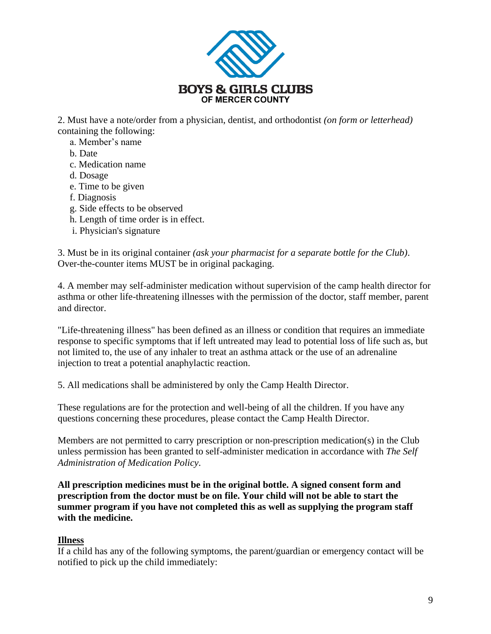

2. Must have a note/order from a physician, dentist, and orthodontist *(on form or letterhead)* containing the following:

- a. Member's name
- b. Date
- c. Medication name
- d. Dosage
- e. Time to be given
- f. Diagnosis
- g. Side effects to be observed
- h. Length of time order is in effect.
- i. Physician's signature

3. Must be in its original container *(ask your pharmacist for a separate bottle for the Club)*. Over-the-counter items MUST be in original packaging.

4. A member may self-administer medication without supervision of the camp health director for asthma or other life-threatening illnesses with the permission of the doctor, staff member, parent and director.

"Life-threatening illness" has been defined as an illness or condition that requires an immediate response to specific symptoms that if left untreated may lead to potential loss of life such as, but not limited to, the use of any inhaler to treat an asthma attack or the use of an adrenaline injection to treat a potential anaphylactic reaction.

5. All medications shall be administered by only the Camp Health Director.

These regulations are for the protection and well-being of all the children. If you have any questions concerning these procedures, please contact the Camp Health Director.

Members are not permitted to carry prescription or non-prescription medication(s) in the Club unless permission has been granted to self-administer medication in accordance with *The Self Administration of Medication Policy*.

**All prescription medicines must be in the original bottle. A signed consent form and prescription from the doctor must be on file. Your child will not be able to start the summer program if you have not completed this as well as supplying the program staff with the medicine.**

# **Illness**

If a child has any of the following symptoms, the parent/guardian or emergency contact will be notified to pick up the child immediately: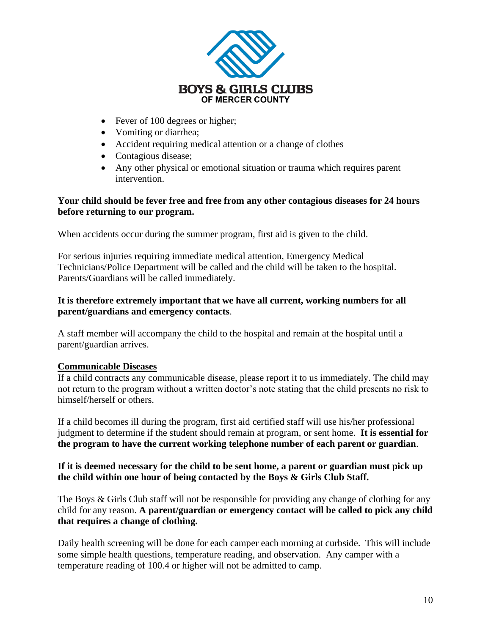

- Fever of 100 degrees or higher;
- Vomiting or diarrhea;
- Accident requiring medical attention or a change of clothes
- Contagious disease;
- Any other physical or emotional situation or trauma which requires parent intervention.

### **Your child should be fever free and free from any other contagious diseases for 24 hours before returning to our program.**

When accidents occur during the summer program, first aid is given to the child.

For serious injuries requiring immediate medical attention, Emergency Medical Technicians/Police Department will be called and the child will be taken to the hospital. Parents/Guardians will be called immediately.

### **It is therefore extremely important that we have all current, working numbers for all parent/guardians and emergency contacts**.

A staff member will accompany the child to the hospital and remain at the hospital until a parent/guardian arrives.

## **Communicable Diseases**

If a child contracts any communicable disease, please report it to us immediately. The child may not return to the program without a written doctor's note stating that the child presents no risk to himself/herself or others.

If a child becomes ill during the program, first aid certified staff will use his/her professional judgment to determine if the student should remain at program, or sent home. **It is essential for the program to have the current working telephone number of each parent or guardian**.

### **If it is deemed necessary for the child to be sent home, a parent or guardian must pick up the child within one hour of being contacted by the Boys & Girls Club Staff.**

The Boys & Girls Club staff will not be responsible for providing any change of clothing for any child for any reason. **A parent/guardian or emergency contact will be called to pick any child that requires a change of clothing.**

Daily health screening will be done for each camper each morning at curbside. This will include some simple health questions, temperature reading, and observation. Any camper with a temperature reading of 100.4 or higher will not be admitted to camp.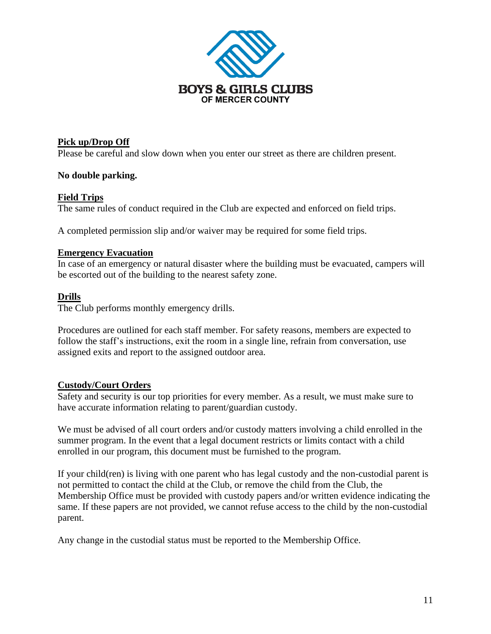

### **Pick up/Drop Off**

Please be careful and slow down when you enter our street as there are children present.

### **No double parking.**

### **Field Trips**

The same rules of conduct required in the Club are expected and enforced on field trips.

A completed permission slip and/or waiver may be required for some field trips.

#### **Emergency Evacuation**

In case of an emergency or natural disaster where the building must be evacuated, campers will be escorted out of the building to the nearest safety zone.

#### **Drills**

The Club performs monthly emergency drills.

Procedures are outlined for each staff member. For safety reasons, members are expected to follow the staff's instructions, exit the room in a single line, refrain from conversation, use assigned exits and report to the assigned outdoor area.

#### **Custody/Court Orders**

Safety and security is our top priorities for every member. As a result, we must make sure to have accurate information relating to parent/guardian custody.

We must be advised of all court orders and/or custody matters involving a child enrolled in the summer program. In the event that a legal document restricts or limits contact with a child enrolled in our program, this document must be furnished to the program.

If your child(ren) is living with one parent who has legal custody and the non-custodial parent is not permitted to contact the child at the Club, or remove the child from the Club, the Membership Office must be provided with custody papers and/or written evidence indicating the same. If these papers are not provided, we cannot refuse access to the child by the non-custodial parent.

Any change in the custodial status must be reported to the Membership Office.